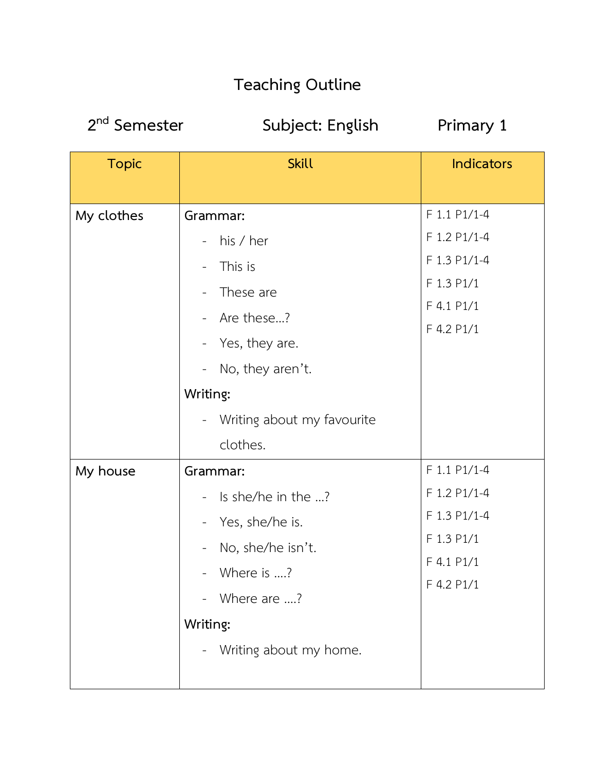## **Teaching Outline**

2<sup>nd</sup> Semester 2015 **Subject: English** Primary 1

| <b>Topic</b> | <b>Skill</b>                      | <b>Indicators</b>        |
|--------------|-----------------------------------|--------------------------|
|              |                                   |                          |
| My clothes   | Grammar:                          | F 1.1 P1/1-4             |
|              | his / her                         | F 1.2 P1/1-4             |
|              | This is<br>$\equiv$               | F 1.3 P1/1-4             |
|              | These are                         | F 1.3 P1/1               |
|              | Are these?                        | F 4.1 P1/1<br>F 4.2 P1/1 |
|              | Yes, they are.<br>$\equiv$        |                          |
|              | No, they aren't.<br>$\equiv$      |                          |
|              | Writing:                          |                          |
|              | Writing about my favourite        |                          |
|              |                                   |                          |
|              | clothes.                          |                          |
| My house     | Grammar:                          | F 1.1 P1/1-4             |
|              | Is she/he in the ?                | F 1.2 P1/1-4             |
|              | Yes, she/he is.<br>$\blacksquare$ | F 1.3 P1/1-4             |
|              | No, she/he isn't.                 | F 1.3 P1/1               |
|              | Where is ?                        | F 4.1 P1/1               |
|              | Where are ?                       | F 4.2 P1/1               |
|              | Writing:                          |                          |
|              |                                   |                          |
|              | Writing about my home.            |                          |
|              |                                   |                          |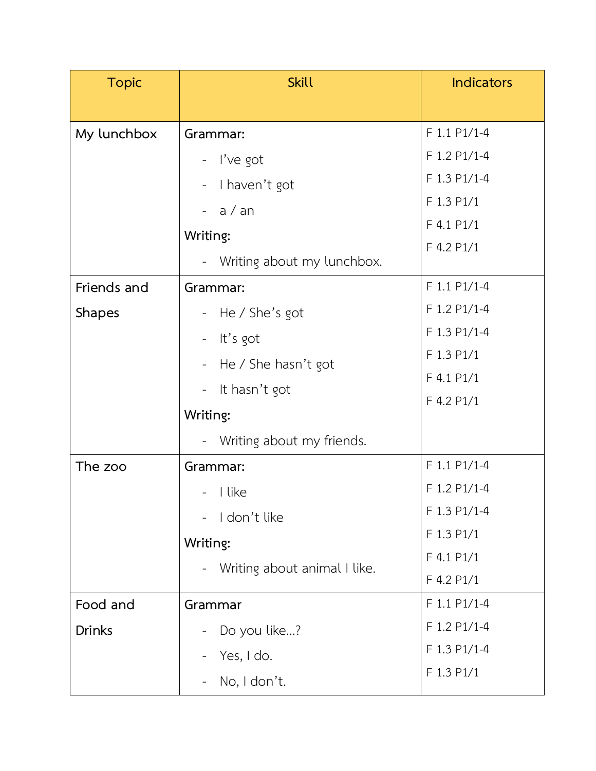| <b>Topic</b>  | <b>Skill</b>                    | <b>Indicators</b> |
|---------------|---------------------------------|-------------------|
|               |                                 |                   |
| My lunchbox   | Grammar:                        | F 1.1 P1/1-4      |
|               | I've got                        | F 1.2 P1/1-4      |
|               | I haven't got                   | F 1.3 P1/1-4      |
|               | $- a / an$                      | F 1.3 P1/1        |
|               | Writing:                        | F 4.1 P1/1        |
|               | Writing about my lunchbox.      | F 4.2 P1/1        |
| Friends and   | Grammar:                        | F 1.1 P1/1-4      |
| <b>Shapes</b> | He / She's got                  | F 1.2 P1/1-4      |
|               | It's got<br>$\equiv$            | F 1.3 P1/1-4      |
|               | He / She hasn't got<br>$\equiv$ | F 1.3 P1/1        |
|               | It hasn't got                   | F 4.1 P1/1        |
|               | Writing:                        | F 4.2 P1/1        |
|               | Writing about my friends.       |                   |
| The zoo       | Grammar:                        | F 1.1 P1/1-4      |
|               | I like                          | F 1.2 P1/1-4      |
|               | I don't like                    | F 1.3 P1/1-4      |
|               | Writing:                        | F 1.3 P1/1        |
|               | Writing about animal I like.    | F 4.1 P1/1        |
|               |                                 | F 4.2 P1/1        |
| Food and      | Grammar                         | F 1.1 P1/1-4      |
| Drinks        | Do you like?                    | F 1.2 P1/1-4      |
|               | Yes, I do.                      | F 1.3 P1/1-4      |
|               | No, I don't.                    | F 1.3 P1/1        |